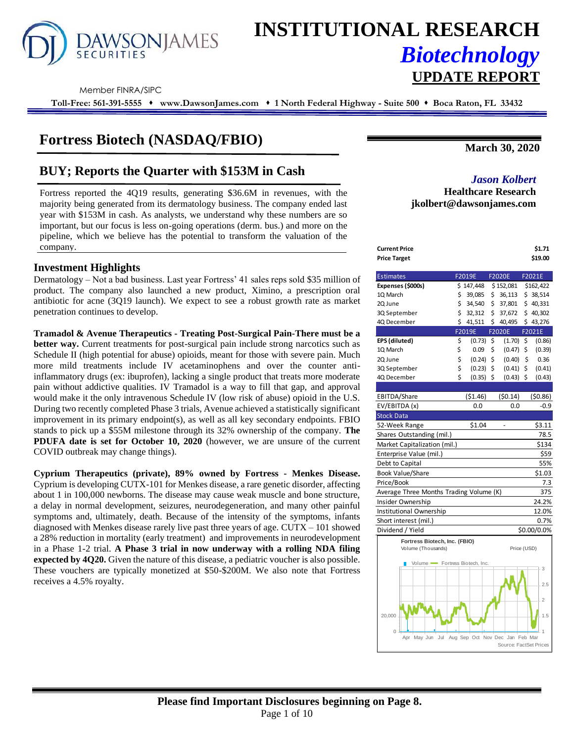

# **INSTITUTIONAL RESEARCH** *Biotechnology* **UPDATE REPORT**

Member FINRA/SIPC

**Toll-Free: 561-391-5555** ⬧ **www.DawsonJames.com** ⬧ **1 North Federal Highway - Suite 500** ⬧ **Boca Raton, FL 33432**

# **Fortress Biotech (NASDAQ/FBIO)**

# **BUY; Reports the Quarter with \$153M in Cash** *Jason Kolbert*

Fortress reported the 4Q19 results, generating \$36.6M in revenues, with the majority being generated from its dermatology business. The company ended last year with \$153M in cash. As analysts, we understand why these numbers are so important, but our focus is less on-going operations (derm. bus.) and more on the pipeline, which we believe has the potential to transform the valuation of the company.

# **Investment Highlights**

Dermatology – Not a bad business. Last year Fortress' 41 sales reps sold \$35 million of product. The company also launched a new product, Ximino, a prescription oral antibiotic for acne (3Q19 launch). We expect to see a robust growth rate as market penetration continues to develop.

**Tramadol & Avenue Therapeutics - Treating Post-Surgical Pain-There must be a better way.** Current treatments for post-surgical pain include strong narcotics such as Schedule II (high potential for abuse) opioids, meant for those with severe pain. Much more mild treatments include IV acetaminophens and over the counter antiinflammatory drugs (ex: ibuprofen), lacking a single product that treats more moderate pain without addictive qualities. IV Tramadol is a way to fill that gap, and approval would make it the only intravenous Schedule IV (low risk of abuse) opioid in the U.S. During two recently completed Phase 3 trials, Avenue achieved a statistically significant improvement in its primary endpoint(s), as well as all key secondary endpoints. FBIO stands to pick up a \$55M milestone through its 32% ownership of the company. **The PDUFA date is set for October 10, 2020** (however, we are unsure of the current COVID outbreak may change things).

**Cyprium Therapeutics (private), 89% owned by Fortress - Menkes Disease.** Cyprium is developing CUTX-101 for Menkes disease, a rare genetic disorder, affecting about 1 in 100,000 newborns. The disease may cause weak muscle and bone structure, a delay in normal development, seizures, neurodegeneration, and many other painful symptoms and, ultimately, death. Because of the intensity of the symptoms, infants diagnosed with Menkes disease rarely live past three years of age. CUTX – 101 showed a 28% reduction in mortality (early treatment) and improvements in neurodevelopment in a Phase 1-2 trial. **A Phase 3 trial in now underway with a rolling NDA filing expected by 4Q20.** Given the nature of this disease, a pediatric voucher is also possible. These vouchers are typically monetized at \$50-\$200M. We also note that Fortress receives a 4.5% royalty.

**March 30, 2020**

# **Healthcare Research jkolbert@dawsonjames.com**

| Current Price<br>Price Target |                               |                               |        |  |  |  |  |
|-------------------------------|-------------------------------|-------------------------------|--------|--|--|--|--|
| <b>Estimates</b>              | F2019E                        | F2020E                        | F2021E |  |  |  |  |
| Expenses (\$000s)             | \$147.448 \$152.081 \$162.422 |                               |        |  |  |  |  |
| 10 March                      |                               | $$39,085$ $$36,113$ $$38,514$ |        |  |  |  |  |
| 2Q June                       |                               | $$34,540 \t$37,801 \t$40,331$ |        |  |  |  |  |

| 2Q June                                 | \$<br>34,540 | \$<br>37,801  | \$40,331     |
|-----------------------------------------|--------------|---------------|--------------|
| 3Q September                            | \$<br>32,312 | \$<br>37,672  | \$<br>40,302 |
| 4Q December                             | \$<br>41,511 | \$<br>40,495  | \$43,276     |
|                                         | F2019E       | <b>F2020E</b> | F2021E       |
| EPS (diluted)                           | \$<br>(0.73) | \$<br>(1.70)  | \$<br>(0.86) |
| 10 March                                | \$<br>0.09   | \$<br>(0.47)  | \$<br>(0.39) |
| 2Q June                                 | \$<br>(0.24) | \$<br>(0.40)  | \$<br>0.36   |
| 3Q September                            | \$<br>(0.23) | \$<br>(0.41)  | \$<br>(0.41) |
| 4Q December                             | \$<br>(0.35) | \$<br>(0.43)  | \$<br>(0.43) |
|                                         |              |               |              |
| EBITDA/Share                            | ( \$1.46)    | (50.14)       | (\$0.86)     |
| EV/EBITDA (x)                           | 0.0          | 0.0           | $-0.9$       |
| <b>Stock Data</b>                       |              |               |              |
| 52-Week Range                           | \$1.04       |               | \$3.11       |
| Shares Outstanding (mil.)               |              |               | 78.5         |
| Market Capitalization (mil.)            |              |               | \$134        |
| Enterprise Value (mil.)                 |              |               | \$59         |
| Debt to Capital                         |              |               | 55%          |
| Book Value/Share                        |              |               | \$1.03       |
| Price/Book                              |              |               | 7.3          |
| Average Three Months Trading Volume (K) |              |               | 375          |
| Insider Ownership                       |              |               | 24.2%        |
| Institutional Ownership                 |              |               | 12.0%        |
| Short interest (mil.)                   |              |               | 0.7%         |
| Dividend / Yield                        |              |               | \$0.00/0.0%  |
|                                         |              |               |              |

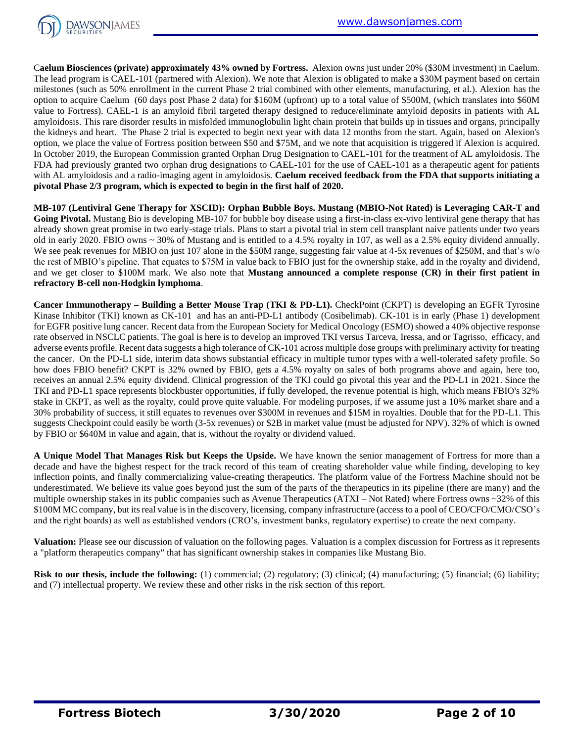

C**aelum Biosciences (private) approximately 43% owned by Fortress.** Alexion owns just under 20% (\$30M investment) in Caelum. The lead program is CAEL-101 (partnered with Alexion). We note that Alexion is obligated to make a \$30M payment based on certain milestones (such as 50% enrollment in the current Phase 2 trial combined with other elements, manufacturing, et al.). Alexion has the option to acquire Caelum (60 days post Phase 2 data) for \$160M (upfront) up to a total value of \$500M, (which translates into \$60M value to Fortress). CAEL-1 is an amyloid fibril targeted therapy designed to reduce/eliminate amyloid deposits in patients with AL amyloidosis. This rare disorder results in misfolded immunoglobulin light chain protein that builds up in tissues and organs, principally the kidneys and heart. The Phase 2 trial is expected to begin next year with data 12 months from the start. Again, based on Alexion's option, we place the value of Fortress position between \$50 and \$75M, and we note that acquisition is triggered if Alexion is acquired. In October 2019, the European Commission granted Orphan Drug Designation to CAEL-101 for the treatment of AL amyloidosis. The FDA had previously granted two orphan drug designations to CAEL-101 for the use of CAEL-101 as a therapeutic agent for patients with AL amyloidosis and a radio-imaging agent in amyloidosis. **Caelum received feedback from the FDA that supports initiating a pivotal Phase 2/3 program, which is expected to begin in the first half of 2020.**

**MB-107 (Lentiviral Gene Therapy for XSCID): Orphan Bubble Boys. Mustang (MBIO-Not Rated) is Leveraging CAR-T and**  Going Pivotal. Mustang Bio is developing MB-107 for bubble boy disease using a first-in-class ex-vivo lentiviral gene therapy that has already shown great promise in two early-stage trials. Plans to start a pivotal trial in stem cell transplant naive patients under two years old in early 2020. FBIO owns ~ 30% of Mustang and is entitled to a 4.5% royalty in 107, as well as a 2.5% equity dividend annually. We see peak revenues for MBIO on just 107 alone in the \$50M range, suggesting fair value at 4-5x revenues of \$250M, and that's w/o the rest of MBIO's pipeline. That equates to \$75M in value back to FBIO just for the ownership stake, add in the royalty and dividend, and we get closer to \$100M mark. We also note that **Mustang announced a complete response (CR) in their first patient in refractory B-cell non-Hodgkin lymphoma**.

**Cancer Immunotherapy – Building a Better Mouse Trap (TKI & PD-L1).** CheckPoint (CKPT) is developing an EGFR Tyrosine Kinase Inhibitor (TKI) known as CK-101 and has an anti-PD-L1 antibody (Cosibelimab). CK-101 is in early (Phase 1) development for EGFR positive lung cancer. Recent data from the European Society for Medical Oncology (ESMO) showed a 40% objective response rate observed in NSCLC patients. The goal is here is to develop an improved TKI versus Tarceva, Iressa, and or Tagrisso, efficacy, and adverse events profile. Recent data suggests a high tolerance of CK-101 across multiple dose groups with preliminary activity for treating the cancer. On the PD-L1 side, interim data shows substantial efficacy in multiple tumor types with a well-tolerated safety profile. So how does FBIO benefit? CKPT is 32% owned by FBIO, gets a 4.5% royalty on sales of both programs above and again, here too, receives an annual 2.5% equity dividend. Clinical progression of the TKI could go pivotal this year and the PD-L1 in 2021. Since the TKI and PD-L1 space represents blockbuster opportunities, if fully developed, the revenue potential is high, which means FBIO's 32% stake in CKPT, as well as the royalty, could prove quite valuable. For modeling purposes, if we assume just a 10% market share and a 30% probability of success, it still equates to revenues over \$300M in revenues and \$15M in royalties. Double that for the PD-L1. This suggests Checkpoint could easily be worth (3-5x revenues) or \$2B in market value (must be adjusted for NPV). 32% of which is owned by FBIO or \$640M in value and again, that is, without the royalty or dividend valued.

**A Unique Model That Manages Risk but Keeps the Upside.** We have known the senior management of Fortress for more than a decade and have the highest respect for the track record of this team of creating shareholder value while finding, developing to key inflection points, and finally commercializing value-creating therapeutics. The platform value of the Fortress Machine should not be underestimated. We believe its value goes beyond just the sum of the parts of the therapeutics in its pipeline (there are many) and the multiple ownership stakes in its public companies such as Avenue Therapeutics (ATXI – Not Rated) where Fortress owns ~32% of this \$100M MC company, but its real value is in the discovery, licensing, company infrastructure (access to a pool of CEO/CFO/CMO/CSO's and the right boards) as well as established vendors (CRO's, investment banks, regulatory expertise) to create the next company.

**Valuation:** Please see our discussion of valuation on the following pages. Valuation is a complex discussion for Fortress as it represents a "platform therapeutics company" that has significant ownership stakes in companies like Mustang Bio.

**Risk to our thesis, include the following:** (1) commercial; (2) regulatory; (3) clinical; (4) manufacturing; (5) financial; (6) liability; and (7) intellectual property. We review these and other risks in the risk section of this report.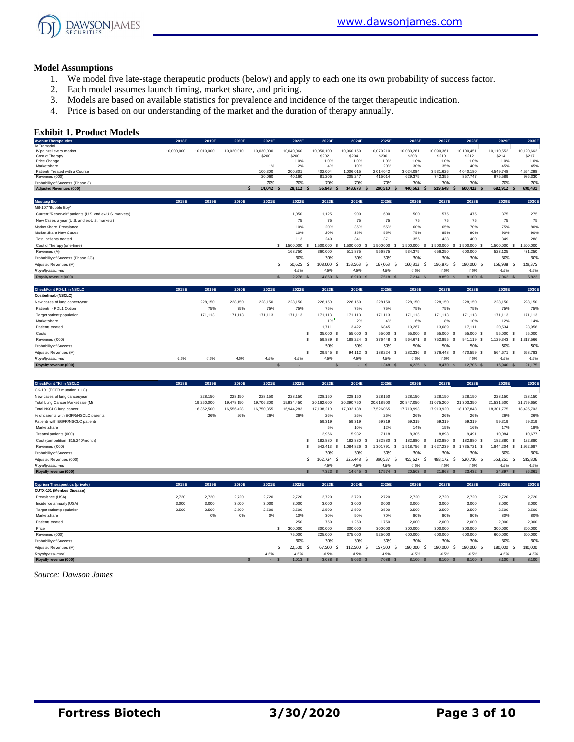

### **Model Assumptions**

- 1. We model five late-stage therapeutic products (below) and apply to each one its own probability of success factor.
- 2. Each model assumes launch timing, market share, and pricing.
- 3. Models are based on available statistics for prevalence and incidence of the target therapeutic indication.
- 4. Price is based on our understanding of the market and the duration of therapy annually.

#### **Exhibit 1. Product Models**

| IV Tramadol                                             |            | 2019E      | 2020E      | 2021E        | 2022E           | 2023E           | 2024E               | 2025E           | 2026E              | 2027E         | 2028E              | 2029E                    | 2030E         |
|---------------------------------------------------------|------------|------------|------------|--------------|-----------------|-----------------|---------------------|-----------------|--------------------|---------------|--------------------|--------------------------|---------------|
|                                                         |            |            |            |              |                 |                 |                     |                 |                    |               |                    |                          |               |
| IV pain relievers market                                | 10,000,000 | 10,010,000 | 10.020.010 | 10,030,030   | 10,040,060      | 10,050,100      | 10.060.150          | 10,070,210      | 10,080,281         | 10,090,361    | 10,100,451         | 10,110,552               | 10.120.662    |
| Cost of Therapy<br>Price Change                         |            |            |            | \$200        | \$200<br>1.0%   | \$202<br>1.0%   | \$204<br>1.0%       | \$206<br>1.0%   | \$208<br>1.0%      | \$210<br>1.0% | \$212<br>1.0%      | \$214<br>1.0%            | \$217<br>1.0% |
| Market share                                            |            |            |            | 1%           | 2%              | 4%              | 10%                 | 20%             | 30%                | 35%           | 40%                | 45%                      | 45%           |
| Patients Treated with a Course                          |            |            |            | 100,300      | 200,801         | 402.004         | 1.006.015           | 2.014.042       | 3.024.084          | 3.531.626     | 4.040.180          | 4.549.748                | 4,554,298     |
| Revenues (000)                                          |            |            |            | 20,060       | 40,160          | 81,205          | 205,247             | 415,014         | 629,375            | 742,355       | 857,747            | 975,589                  | 986,330       |
| Probability of Success (Phase 3)                        |            |            |            | 70%          | 70%             | 70%             | 70%                 | 70%             | 70%                | 70%           | 70%                | 70%                      | 70%           |
| Adjusted Revenues (000)                                 |            |            |            | 14.042 \$    | 28.112 \$       | 56.843          | 143.673<br><b>S</b> | 290.510<br>-S   | 440.562<br>- S     | 519.648       | 600.423 \$<br>Ŝ.   | 682.912<br>.S            | 690.431       |
| <b>Mustang Bio</b>                                      | 2018E      | 2019E      | 2020E      | 2021E        | 2022E           | 2023E           | 2024E               | 2025E           | 2026E              | 2027E         | 2028E              | 2029E                    | 2030E         |
| MB-107 "Bubble Boy"                                     |            |            |            |              |                 |                 |                     |                 |                    |               |                    |                          |               |
| Current "Reservoir" patients (U.S. and ex-U.S. markets) |            |            |            |              | 1,050           | 1,125           | 900                 | 600             | 500                | 575           | 475                | 375                      | 275           |
| New Cases a year (U.S. and ex-U.S. markets)             |            |            |            |              | 75              | 75              | 75                  | 75              | 75                 | 75            | 75                 | 75                       | 75            |
| Market Share Prevalance                                 |            |            |            |              | 10%             | 20%             | 35%                 | 55%             | 60%                | 65%           | 70%                | 75%                      | 80%           |
| Market Share New Cases                                  |            |            |            |              | 10%             | 20%             | 35%                 | 55%             | 75%                | 85%           | 90%                | 90%                      | 90%           |
| Total patients treated                                  |            |            |            |              | 113             | 240             | 341                 | 371             | 356                | 438           | 400                | 349                      | 288           |
| Cost of Therapy (one-time)                              |            |            |            |              | $$1,500,000$ \$ | 1.500.000<br>-S | 1.500.000<br>-S     | 1,500,000<br>-S | 1,500,000<br>-S    | 1.500.000     | s.<br>1.500.000 \$ | 1,500,000<br>- S         | 1,500,000     |
| Revenues (M)                                            |            |            |            |              | 168,750         | 360,000         | 511.875             | 556.875         | 534,375            | 656,250       | 600,000            | 523.125                  | 431,250       |
| Probability of Success (Phase 2/3)                      |            |            |            |              | 30%             | 30%             | 30%                 | 30%             | 30%                | 30%           | 30%                | 30%                      | 30%           |
| Adjusted Revenues (M)                                   |            |            |            | Ŝ.           | 50.625<br>.\$   | 108,000<br>-Ś   | 153.563<br>-\$      | 167.063<br>-Ś   | 160.313<br>s.      | 196.875       | 180,000 \$<br>Ŝ.   | 156.938<br><sup>\$</sup> | 129,375       |
| Royalty assumed                                         |            |            |            |              | 4.5%            | 4.5%            | 4.5%                | 4.5%            | 4.5%               | 4.5%          | 4.5%               | 4.5%                     | 4.5%          |
| Royalty revenue (000)                                   |            |            |            | $\mathbf{s}$ | $2.278$ \$      | 4.860 \$        | 6.910 S             | 7.518 S         | $7,214$ \$         | 8,859 \$      | 8,100 \$           | 7,062 S                  | 5,822         |
|                                                         |            |            |            |              |                 |                 |                     |                 |                    |               |                    |                          |               |
| CheckPoint PD-L1 in NSCLC                               | 2018E      | 2019E      | 2020E      | 2021E        | 2022E           | 2023E           | 2024E               | 2025E           | 2026E              | 2027E         | 2028E              | 2029E                    | 2030E         |
| Cosibelimab (NSCLC)                                     |            |            |            |              |                 |                 |                     |                 |                    |               |                    |                          |               |
| New cases of lung cancer/year                           |            | 228,150    | 228,150    | 228,150      | 228,150         | 228,150         | 228,150             | 228,150         | 228,150            | 228,150       | 228,150            | 228,150                  | 228,150       |
| Patients - PDL1 Option                                  |            | 75%        | 75%        | 75%          | 75%             | 75%             | 75%                 | 75%             | 75%                | 75%           | 75%                | 75%                      | 75%           |
| Target patient population                               |            | 171.113    | 171.113    | 171.113      | 171,113         | 171.113         | 171.113             | 171.113         | 171.113            | 171.113       | 171.113            | 171.113                  | 171.113       |
| Market share                                            |            |            |            |              |                 | 1%              | 2%                  | 4%              | 6%                 | 8%            | 10%                | 12%                      | 14%           |
| Patients treated                                        |            |            |            |              |                 | 1,711           | 3.422               | 6.845           | 10.267             | 13,689        | 17.111             | 20.534                   | 23.956        |
| Costs                                                   |            |            |            |              | s               | 35,000 \$       | 55,000<br>-S        | 55,000<br>s     | 55,000<br><b>S</b> | 55,000 \$     | 55,000 \$          | 55,000<br>- S            | 55,000        |
| Revenues ('000)                                         |            |            |            |              | \$.             | 59.889 \$       | 188,224<br>-S       | 376,448<br>-S   | 564.671 \$         | 752.895       | 941.119 \$<br>- \$ | 1.129.343<br>- S         | 1.317.566     |
| Probability of Success                                  |            |            |            |              |                 | 50%             | 50%                 | 50%             | 50%                | 50%           | 50%                | 50%                      | 50%           |
| Adjusted Revenues (M)                                   |            |            |            |              | s               | 29.945<br>-9    | 94,112<br>-S        | 188,224<br>-S   | 282,336<br>- 3     | 376,448       | 470,559 \$<br>- \$ | 564,671<br>- S           | 658,783       |
| Royalty assumed                                         | 4.5%       | 4.5%       | 4.5%       | 4.5%         | 4.5%            | 4.5%            | 4.5%                | 4.5%            | 4.5%               | 4.5%          | 4.5%               | 4.5%                     | 4.5%          |
| Royalty revenue (000)                                   |            |            |            |              |                 |                 | $\sim$              | $1,348$ \$      | 4,235 \$           | 8,470 \$      | 12,705 \$          | 16.940 S                 | 21,175        |
|                                                         |            |            |            |              |                 |                 |                     |                 |                    |               |                    |                          |               |
| <b>CheckPoint TKI in NSCLC</b>                          | 2018E      | 2019E      | 2020E      | 2021E        | 2022E           | 2023E           | 2024E               | 2025E           | 2026E              | 2027E         | 2028E              | 2029E                    | 2030E         |

| <b>CheckPoint TKI in NSCLC</b>         | 2018E | 2019E      | 2020E      | 2021E      | 2022E      | 2023E      | 2024E            | 2025E      | 2026E                    | 2027E         | 2028E             | 2029E         | 2030E      |
|----------------------------------------|-------|------------|------------|------------|------------|------------|------------------|------------|--------------------------|---------------|-------------------|---------------|------------|
| CK-101 (EGFR mutation + LC)            |       |            |            |            |            |            |                  |            |                          |               |                   |               |            |
| New cases of lung cancer/year          |       | 228,150    | 228,150    | 228,150    | 228,150    | 228,150    | 228,150          | 228.150    | 228,150                  | 228,150       | 228,150           | 228,150       | 228,150    |
| Total Lung Cancer Market size (M)      |       | 19,250,000 | 19,478,150 | 19,706,300 | 19,934,450 | 20,162,600 | 20,390,750       | 20,618,900 | 20,847,050               | 21,075,200    | 21,303,350        | 21,531,500    | 21,759,650 |
| Total NSCLC lung cancer                |       | 16,362,500 | 16.556.428 | 16,750,355 | 16.944.283 | 17,138,210 | 17,332,138       | 17,526,065 | 17,719,993               | 17,913,920    | 18,107,848        | 18,301,775    | 18,495,703 |
| % of patients with EGFR/NSCLC patients |       | 26%        | 26%        | 26%        | 26%        | 26%        | 26%              | 26%        | 26%                      | 26%           | 26%               | 26%           | 26%        |
| Patients with EGFR/NSCLC patients      |       |            |            |            |            | 59.319     | 59.319           | 59,319     | 59,319                   | 59,319        | 59,319            | 59,319        | 59,319     |
| Market share                           |       |            |            |            |            | 5%         | 10%              | 12%        | 14%                      | 15%           | 16%               | 17%           | 18%        |
| Treated patients (000)                 |       |            |            |            |            | 2.966      | 5.932            | 7.118      | 8.305                    | 8,898         | 9,491             | 10.084        | 10.677     |
| Cost (competition=\$15,240/month)      |       |            |            |            |            | 182.880    | 182,880 S        | 182.880    | 182.880                  | 182,880       | 182.880 \$        | 182,880 \$    | 182,880    |
| Revenues ('000)                        |       |            |            |            |            | 542.413    | 1.084.826        | .301.791   | .518.756<br>s            | .627.239      | .735.721 \$<br>-8 | .844.204<br>s | .952.687   |
| Probability of Success                 |       |            |            |            |            | 30%        | 30%              | 30%        | 30%                      | 30%           | 30%               | 30%           | 30%        |
| Adjusted Revenues (000)                |       |            |            |            |            | 162,724    | 325.448 \$       | 390,537    | 455,627<br>$\mathcal{L}$ | 488,172<br>-S | 520.716 \$        | 553,261<br>-5 | 585,806    |
| Royalty assumed                        |       |            |            |            |            | 4.5%       | 4.5%             | 4.5%       | 4.5%                     | 4.5%          | 4.5%              | 4.5%          | 4.5%       |
| Royalty revenue (000)                  |       |            |            |            |            | 7.323      | 14,645 \$<br>. S | 17.574     | 20,503<br>- 5            | 21,968 \$     | 23,432 \$         | 24,897        | 26,361     |

| noyany assumou                        |       |       |       |       |            | 7.070      | 7.070      | 7.979                  | 7.070         | 7.070     | 7.070      | 7.070     | 7.070   |
|---------------------------------------|-------|-------|-------|-------|------------|------------|------------|------------------------|---------------|-----------|------------|-----------|---------|
| Royalty revenue (000)                 |       |       |       |       |            | $7,323$ \$ | 14,645 S   | 17,574<br>$\mathbf{s}$ | 20,503<br>- 8 | 21.968 \$ | 23.432 S   | 24,897 \$ | 26,361  |
|                                       |       |       |       |       |            |            |            |                        |               |           |            |           |         |
| <b>Cyprium Therapeutics (private)</b> | 2018E | 2019E | 2020E | 2021E | 2022E      | 2023E      | 2024E      | 2025E                  | 2026E         | 2027E     | 2028E      | 2029E     | 2030E   |
| CUTX-101 (Menkes Disease)             |       |       |       |       |            |            |            |                        |               |           |            |           |         |
| Prevalance (USA)                      | 2.720 | 2.720 | 2.720 | 2.720 | 2.720      | 2.720      | 2.720      | 2.720                  | 2.720         | 2.720     | 2.720      | 2.720     | 2,720   |
| Incidence annualy (USA)               | 3.000 | 3,000 | 3.000 | 3,000 | 3.000      | 3,000      | 3,000      | 3,000                  | 3,000         | 3,000     | 3,000      | 3,000     | 3,000   |
| Target patient population             | 2,500 | 2,500 | 2.500 | 2.500 | 2,500      | 2.500      | 2,500      | 2,500                  | 2,500         | 2.500     | 2.500      | 2.500     | 2,500   |
| Market share                          |       | 0%    | 0%    | 0%    | 10%        | 30%        | 50%        | 70%                    | 80%           | 80%       | 80%        | 80%       | 80%     |
| Patients treated                      |       |       |       |       | 250        | 750        | 1,250      | 1,750                  | 2,000         | 2,000     | 2,000      | 2,000     | 2,000   |
| Price                                 |       |       |       |       | 300,000    | 300,000    | 300,000    | 300,000                | 300,000       | 300,000   | 300,000    | 300,000   | 300,000 |
| Revenues (000)                        |       |       |       |       | 75,000     | 225,000    | 375,000    | 525,000                | 600,000       | 600,000   | 600,000    | 600,000   | 600,000 |
| Probability of Success                |       |       |       |       | 30%        | 30%        | 30%        | 30%                    | 30%           | 30%       | 30%        | 30%       | 30%     |
| Adjusted Revenues (M)                 |       |       |       |       | 22,500     | 67,500     | 112,500 \$ | 157,500                | 180,000       | 180,000   | 180,000 \$ | 180,000   | 180,000 |
| Royalty assumed                       |       |       |       | 4.5%  | 4.5%       | 4.5%       | 4.5%       | 4.5%                   | 4.5%          | 4.5%      | 4.5%       | 4.5%      | 4.5%    |
| Royalty revenue (000)                 |       |       |       | . .   | $1,013$ \$ | $3,038$ \$ | $5,063$ \$ | 7,088<br>$\mathbf{s}$  | 8,100 \$      | 8,100 \$  | 8.100 \$   | 8,100 \$  | 8,100   |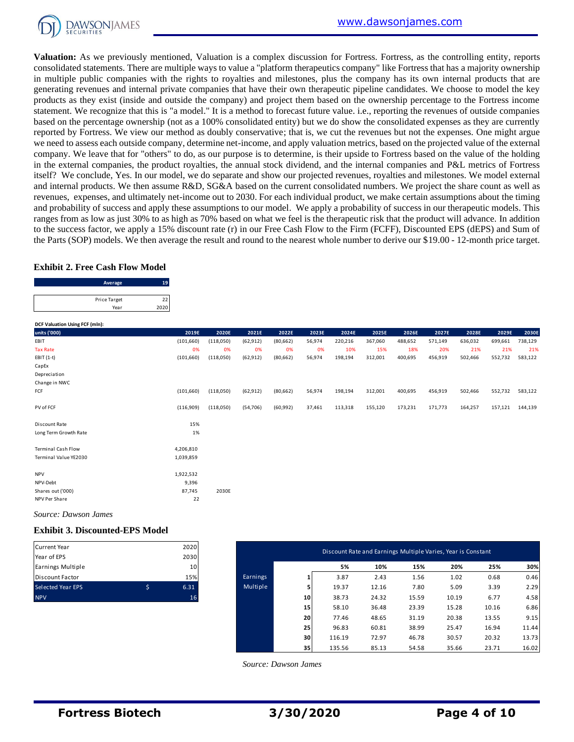

**Valuation:** As we previously mentioned, Valuation is a complex discussion for Fortress. Fortress, as the controlling entity, reports consolidated statements. There are multiple ways to value a "platform therapeutics company" like Fortress that has a majority ownership in multiple public companies with the rights to royalties and milestones, plus the company has its own internal products that are generating revenues and internal private companies that have their own therapeutic pipeline candidates. We choose to model the key products as they exist (inside and outside the company) and project them based on the ownership percentage to the Fortress income statement. We recognize that this is "a model." It is a method to forecast future value. i.e., reporting the revenues of outside companies based on the percentage ownership (not as a 100% consolidated entity) but we do show the consolidated expenses as they are currently reported by Fortress. We view our method as doubly conservative; that is, we cut the revenues but not the expenses. One might argue we need to assess each outside company, determine net-income, and apply valuation metrics, based on the projected value of the external company. We leave that for "others" to do, as our purpose is to determine, is their upside to Fortress based on the value of the holding in the external companies, the product royalties, the annual stock dividend, and the internal companies and P&L metrics of Fortress itself? We conclude, Yes. In our model, we do separate and show our projected revenues, royalties and milestones. We model external and internal products. We then assume R&D, SG&A based on the current consolidated numbers. We project the share count as well as revenues, expenses, and ultimately net-income out to 2030. For each individual product, we make certain assumptions about the timing and probability of success and apply these assumptions to our model. We apply a probability of success in our therapeutic models. This ranges from as low as just 30% to as high as 70% based on what we feel is the therapeutic risk that the product will advance. In addition to the success factor, we apply a 15% discount rate (r) in our Free Cash Flow to the Firm (FCFF), Discounted EPS (dEPS) and Sum of the Parts (SOP) models. We then average the result and round to the nearest whole number to derive our \$19.00 - 12-month price target.<br> **Exhibit 2. Free Cash Flow Model**<br>
Average 19<br>
Price Target 22

#### **Exhibit 2. Free Cash Flow Model**

| <b>Exhibit 2. Free Cash Flow Model</b> |
|----------------------------------------|
| 19                                     |
| 22                                     |
| 2020                                   |
|                                        |

| DCF Valuation Using FCF (mln): |            |           |           |           |        |         |         |         |         |         |         |         |
|--------------------------------|------------|-----------|-----------|-----------|--------|---------|---------|---------|---------|---------|---------|---------|
| units ('000)                   | 2019E      | 2020E     | 2021E     | 2022E     | 2023E  | 2024E   | 2025E   | 2026E   | 2027E   | 2028E   | 2029E   | 2030E   |
| EBIT                           | (101, 660) | (118,050) | (62, 912) | (80, 662) | 56,974 | 220,216 | 367,060 | 488,652 | 571,149 | 636,032 | 699,661 | 738,129 |
| <b>Tax Rate</b>                | 0%         | 0%        | 0%        | 0%        | 0%     | 10%     | 15%     | 18%     | 20%     | 21%     | 21%     | 21%     |
| EBIT (1-t)                     | (101, 660) | (118,050) | (62, 912) | (80, 662) | 56,974 | 198,194 | 312,001 | 400,695 | 456,919 | 502,466 | 552,732 | 583,122 |
| CapEx                          |            |           |           |           |        |         |         |         |         |         |         |         |
| Depreciation                   |            |           |           |           |        |         |         |         |         |         |         |         |
| Change in NWC                  |            |           |           |           |        |         |         |         |         |         |         |         |
| FCF                            | (101, 660) | (118,050) | (62, 912) | (80, 662) | 56,974 | 198,194 | 312,001 | 400,695 | 456,919 | 502,466 | 552,732 | 583,122 |
|                                |            |           |           |           |        |         |         |         |         |         |         |         |
| PV of FCF                      | (116,909)  | (118,050) | (54, 706) | (60, 992) | 37,461 | 113,318 | 155,120 | 173,231 | 171,773 | 164,257 | 157,121 | 144,139 |
| Discount Rate                  | 15%        |           |           |           |        |         |         |         |         |         |         |         |
| Long Term Growth Rate          | 1%         |           |           |           |        |         |         |         |         |         |         |         |
| <b>Terminal Cash Flow</b>      | 4,206,810  |           |           |           |        |         |         |         |         |         |         |         |
| Terminal Value YE2030          | 1,039,859  |           |           |           |        |         |         |         |         |         |         |         |
| <b>NPV</b>                     | 1,922,532  |           |           |           |        |         |         |         |         |         |         |         |
| NPV-Debt                       | 9,396      |           |           |           |        |         |         |         |         |         |         |         |
| Shares out ('000)              | 87,745     | 2030E     |           |           |        |         |         |         |         |         |         |         |
| NPV Per Share                  | 22         |           |           |           |        |         |         |         |         |         |         |         |

#### **Exhibit 3. Discounted-EPS Model**

| <b>Current Year</b>      |   | 2020 |
|--------------------------|---|------|
| Year of EPS              |   | 2030 |
| Earnings Multiple        |   | 10   |
| <b>Discount Factor</b>   |   | 15%  |
| <b>Selected Year EPS</b> | ς | 6.31 |
| <b>NPV</b>               |   | 16   |

| Current Year<br>Year of EPS | 2020<br>2030    |          |                 | Discount Rate and Earnings Multiple Varies, Year is Constant |       |       |       |       |       |
|-----------------------------|-----------------|----------|-----------------|--------------------------------------------------------------|-------|-------|-------|-------|-------|
| Earnings Multiple           | 10 <sup>1</sup> |          |                 | 5%                                                           | 10%   | 15%   | 20%   | 25%   | 30%   |
| Discount Factor             | 15%             | Earnings |                 | 3.87                                                         | 2.43  | 1.56  | 1.02  | 0.68  | 0.46  |
| Selected Year EPS           | \$<br>6.31      | Multiple | э.              | 19.37                                                        | 12.16 | 7.80  | 5.09  | 3.39  | 2.29  |
| <b>NPV</b>                  | 16              |          | 10 <sup>1</sup> | 38.73                                                        | 24.32 | 15.59 | 10.19 | 6.77  | 4.58  |
|                             |                 |          | 15              | 58.10                                                        | 36.48 | 23.39 | 15.28 | 10.16 | 6.86  |
|                             |                 |          | 20              | 77.46                                                        | 48.65 | 31.19 | 20.38 | 13.55 | 9.15  |
|                             |                 |          | 25              | 96.83                                                        | 60.81 | 38.99 | 25.47 | 16.94 | 11.44 |
|                             |                 |          | 30              | 116.19                                                       | 72.97 | 46.78 | 30.57 | 20.32 | 13.73 |
|                             |                 |          | 35              | 135.56                                                       | 85.13 | 54.58 | 35.66 | 23.71 | 16.02 |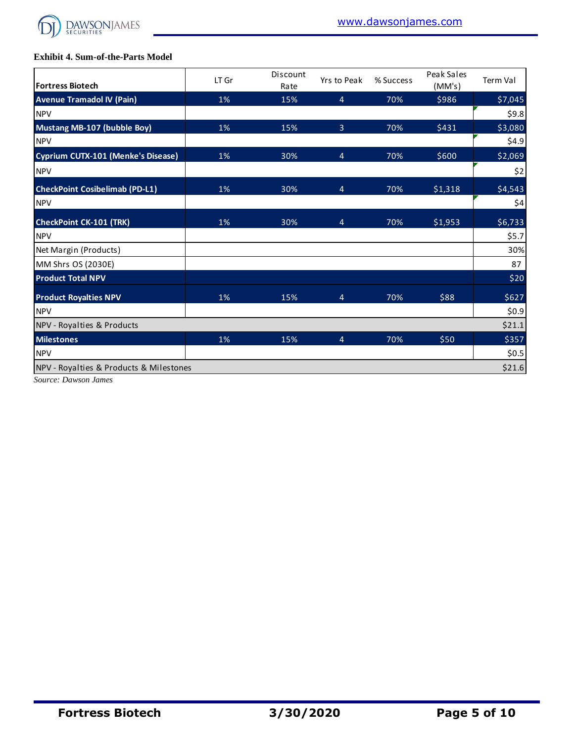

# **Exhibit 4. Sum-of-the-Parts Model**

| <b>Fortress Biotech</b>                   | LT Gr | Discount<br>Rate | Yrs to Peak    | % Success | Peak Sales<br>(MM's) | Term Val |
|-------------------------------------------|-------|------------------|----------------|-----------|----------------------|----------|
| <b>Avenue Tramadol IV (Pain)</b>          | 1%    | 15%              | $\overline{4}$ | 70%       | \$986                | \$7,045  |
| <b>NPV</b>                                |       |                  |                |           |                      | \$9.8    |
| <b>Mustang MB-107 (bubble Boy)</b>        | 1%    | 15%              | 3              | 70%       | \$431                | \$3,080  |
| <b>NPV</b>                                |       |                  |                |           |                      | \$4.9    |
| <b>Cyprium CUTX-101 (Menke's Disease)</b> | 1%    | 30%              | $\overline{4}$ | 70%       | \$600                | \$2,069  |
| <b>NPV</b>                                |       |                  |                |           |                      | \$2      |
| <b>CheckPoint Cosibelimab (PD-L1)</b>     | 1%    | 30%              | $\overline{4}$ | 70%       | \$1,318              | \$4,543  |
| <b>NPV</b>                                |       |                  |                |           |                      | \$4      |
| <b>CheckPoint CK-101 (TRK)</b>            | 1%    | 30%              | $\overline{4}$ | 70%       | \$1,953              | \$6,733  |
| <b>NPV</b>                                |       |                  |                |           |                      | \$5.7    |
| Net Margin (Products)                     |       |                  |                |           |                      | 30%      |
| MM Shrs OS (2030E)                        |       |                  |                |           |                      | 87       |
| <b>Product Total NPV</b>                  |       |                  |                |           |                      | \$20     |
| <b>Product Royalties NPV</b>              | 1%    | 15%              | 4              | 70%       | \$88                 | \$627    |
| <b>NPV</b>                                |       |                  |                |           |                      | \$0.9    |
| NPV - Royalties & Products                |       |                  |                |           |                      | \$21.1   |
| <b>Milestones</b>                         | 1%    | 15%              | $\overline{4}$ | 70%       | \$50                 | \$357    |
| <b>NPV</b>                                |       |                  |                |           |                      | \$0.5    |
| NPV - Royalties & Products & Milestones   |       |                  |                |           |                      | \$21.6   |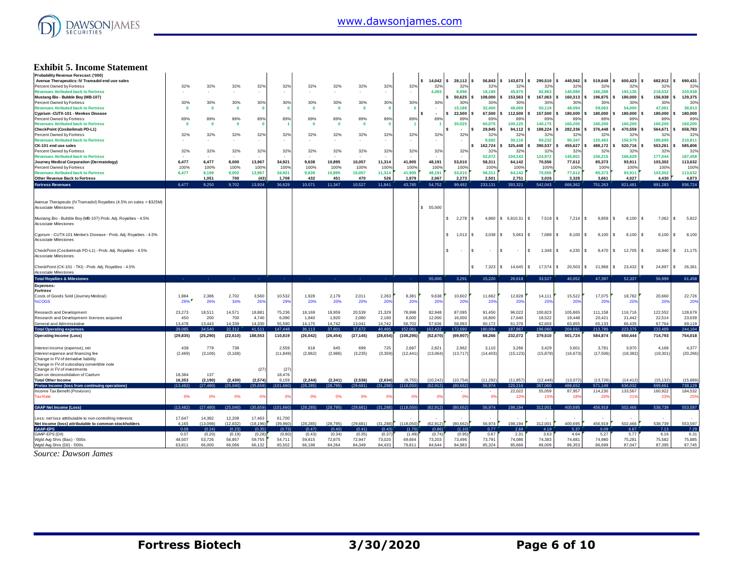

#### **Exhibit 5. Income Statement**

| Probability Revenue Forecast: ('000)                                                     |                  |                  |                  |                  |                  |                  |                  |                  |                  |                  |                  |                  |                  |                   |                     |                   |                             |                   |                   |                         |
|------------------------------------------------------------------------------------------|------------------|------------------|------------------|------------------|------------------|------------------|------------------|------------------|------------------|------------------|------------------|------------------|------------------|-------------------|---------------------|-------------------|-----------------------------|-------------------|-------------------|-------------------------|
| Avenue Therapeutics: IV Tramadol end use sales                                           |                  |                  |                  |                  |                  |                  |                  |                  |                  |                  | 14,042           | $28,112$ \$      | 56,843           | 143,673           | 290,510             | 440,562           | 519,648                     | 600,423           | $682,912$ \$      | 690,431                 |
| Percent Owned by Fortress                                                                | 32%              | 32%              | 32%              | 32%              | 32%              | 32%              | 32%              | 32%              | 32%              | 32%              | 32%              | 32%              | 32%              | 32%               | 32%                 | 32%               | 32%                         | 32%               | 32%               | 32%                     |
| <b>Revenues Atributed back to Fortress</b>                                               |                  |                  |                  |                  |                  |                  |                  |                  |                  |                  | 4.493            | 8.996            | 18,190           | 45,975            | 92.963              | 140,980           | 166,288                     | 192.135           | 218.532           | 220.938                 |
| Mustang Bio - Bubble Boy (MB-107)                                                        |                  |                  |                  |                  |                  |                  |                  |                  |                  |                  |                  | 50,625           | 108,000          | 153,563           | 167,063             | 160,313           | 196,875                     | 180,000           | 156,938           | 129,375                 |
| Percent Owned by Fortress                                                                | 30%              | 30%              | 30%              | 30%              | 30%              | 30%              | 30%              | 30%              | 30%              | 30%              | 30%              | 30%              | 30%              | 30%               | 30%                 | 30%               | 30%                         | 30%               | 30%               | 30%                     |
| <b>Revenues Atributed back to Fortress</b><br>Cyprium - CUTX-101 - Menkes Disease        | $\sqrt{2}$       | n                | $\mathbf{0}$     | n                | $\Omega$         | $\Omega$         | $\Omega$         | n                |                  | - 0              |                  | 15.188<br>22,500 | 32,400<br>67,500 | 46.069<br>112,500 | 50.119<br>157,500   | 48.094<br>180,000 | 59.063<br>180,000           | 54,000<br>180,000 | 47.081<br>180,000 | 38,813<br>180,000<br>١s |
| Percent Owned by Fortress                                                                | 89%              | 89%              | 89%              | 89%              | 89%              | 89%              | 89%              | 89%              | 89%              | 89%              | 89%              | 89%              | 89%              | 89%               | 89%                 | 89%               | 89%                         | 89%               | 89%               | 89%                     |
| <b>Revenues Atributed back to Fortress</b>                                               | -0               | $\Omega$         | $\mathbf{0}$     |                  |                  | $\Omega$         | $\mathbf{0}$     | $\Omega$         |                  |                  |                  | 20,025           | 60.075           | 100,125           | 140.175             | 160,200           | 160,200                     | 160.200           | 160,200           | 160,200                 |
| CheckPoint (Cosibelimab PD-L1)                                                           |                  |                  |                  |                  |                  |                  |                  |                  |                  |                  |                  | $\sim$           | 29.945           | 94,112            | 188,224             | 282,336           | 376,448                     | 470,559           | 564,671           | 658,783<br>ις           |
| Percent Owned by Fortress                                                                | 32%              | 32%              | 32%              | 32%              | 32%              | 32%              | 32%              | 32%              | 32%              | 32%              | 32%              | 329              | 32%              | 32%               | 329                 | 32%               | 32%                         | 32%               | 32%               | 32%                     |
| <b>Revenues Atributed back to Fortress</b>                                               |                  |                  |                  |                  | $\sim$           |                  |                  |                  | ÷                | <b>A</b>         |                  |                  | 9.582            | 30.116            | 60.232              | 90.347            | 120.463                     | 150,579           | 180.695           | 210.811                 |
| CK-101 end use sales                                                                     |                  |                  |                  |                  |                  |                  |                  |                  |                  |                  |                  |                  | 162.724          | 325.448           | 390,537             | 455,627           | 488.172                     | 520.716           | 553,261           | 585,806                 |
| Percent Owned by Fortress                                                                | 32%              | 32%              | 32%              | 32%              | 32%              | 32%              | 32%              | 32%              | 32%              | 32%              | 32%              | 32%              | 32%              | 32%               | 32%                 | 32%               | 32%                         | 32%               | 32%               | 32%                     |
| <b>Revenues Atributed back to Fortress</b>                                               |                  |                  |                  |                  |                  |                  |                  |                  |                  |                  |                  |                  | 52,072           | 104,143           | 124,972             | 145,801           | 156,215                     | 166,629           | 177,044           | 187,458                 |
| Journey Medical Corporation (Dermatology)                                                | 6.477            | 6.477            | 8.000            | 13.967           | 34.921           | 9.638            | 10.895           | 10.057           | 11.314           | 41.905           | 48,191           | 53,010           | 58.311           | 64.142            | 70,556              | 77.612            | 85,373                      | 93,911            | 103,302           | 113,632                 |
| Percent Owned by Fortress                                                                | 100%             | 100%             | 100%             | 100%             | 100%             | 100%             | 100%             | 100%             | 100%             | 100%             | 100%             | 100%             | 100%             | 100%              | 100%                | 100%              | 100%                        | 100%              | 100%              | 100%                    |
| <b>Revenues Atributed back to Fortress</b>                                               | 6,477            | 8.199            | 9.002            | 13,967           | 34.921           | 9.638            | 10.895           | 10,057           | 11.314           | 41,905           | 48.191           | 53.010           | 58.311           | 64.142            | 70.556              | 77,612            | 85,373                      | 93.911            | 103,302           | 113,632                 |
| Other Revenue Back to Fortress                                                           |                  | 1,051            | 700              | (43)             | 1,708            | 432              | 451              | 470              | 526              | 1,879            | 2,067            | 2,273            | 2,501            | 2,751             | 3,026               | 3,328             | 3,661                       | 4,027             | 4,430             | 4,873                   |
| <b>Fortress Revenues</b>                                                                 | 6.477            | 9.250            | 9,702            | 13.924           | 36,629           | 10,071           | 11,347           | 10.527           | 11.841           | 43.785           | 54.752           | 99,492           | 233.131          | 393.321           | 542.043             | 666.362           | 751,263                     | 821.481           | 891,283           | 936.724                 |
|                                                                                          |                  |                  |                  |                  |                  |                  |                  |                  |                  |                  |                  |                  |                  |                   |                     |                   |                             |                   |                   |                         |
|                                                                                          |                  |                  |                  |                  |                  |                  |                  |                  |                  |                  |                  |                  |                  |                   |                     |                   |                             |                   |                   |                         |
| Avenue Therapeutic (IV Tramadol) Royalties (4.5% on sales > \$325M)                      |                  |                  |                  |                  |                  |                  |                  |                  |                  |                  |                  |                  |                  |                   |                     |                   |                             |                   |                   |                         |
| Associate Milestones                                                                     |                  |                  |                  |                  |                  |                  |                  |                  |                  |                  | \$5,000          |                  |                  |                   |                     |                   |                             |                   |                   |                         |
|                                                                                          |                  |                  |                  |                  |                  |                  |                  |                  |                  |                  |                  |                  |                  |                   |                     |                   |                             |                   |                   |                         |
| Mustang Bio - Bubble Boy (MB-107) Prob. Adj. Royalties - 4.5%                            |                  |                  |                  |                  |                  |                  |                  |                  |                  |                  |                  | $2,278$ \$<br>s. |                  | 4,860 \$ 6,910.31 | l S<br>7,518 \$     | 7,214             | 8,859<br>$\hat{\mathbf{z}}$ | 8,100<br>l S      | $7,062$ \$<br>١s  | 5,822                   |
| Associate Milestones                                                                     |                  |                  |                  |                  |                  |                  |                  |                  |                  |                  |                  |                  |                  |                   |                     |                   |                             |                   |                   |                         |
|                                                                                          |                  |                  |                  |                  |                  |                  |                  |                  |                  |                  |                  |                  |                  |                   |                     |                   |                             |                   |                   |                         |
| Cyprium - CUTX-101 Menke's Disease - Prob. Adj. Royalties - 4.5%<br>Associate Milestones |                  |                  |                  |                  |                  |                  |                  |                  |                  |                  |                  | 1,013<br>l s     | 3,038            | 5,063             | \$.<br>7,088<br>' S | 8,100             | 8,100                       | \$.<br>8,100      | 8,100<br>١s       | 8,100<br>l \$           |
|                                                                                          |                  |                  |                  |                  |                  |                  |                  |                  |                  |                  |                  |                  |                  |                   |                     |                   |                             |                   |                   |                         |
| CheckPoint (Cosibelmab PD-L1) - Prob. Adj. Royalties - 4.5%                              |                  |                  |                  |                  |                  |                  |                  |                  |                  |                  |                  | l s<br>$\sim$    |                  | $\sim$            | 1,348<br>\$.<br>'S  | 4,235             | 8,470<br>\$.                | 12,705<br>l S     | $16,940$ \$<br>١s | 21,175                  |
| Associate Milestones                                                                     |                  |                  |                  |                  |                  |                  |                  |                  |                  |                  |                  |                  |                  |                   |                     |                   |                             |                   |                   |                         |
|                                                                                          |                  |                  |                  |                  |                  |                  |                  |                  |                  |                  |                  |                  |                  |                   |                     |                   |                             |                   |                   |                         |
| CheckPoint (CK-101 - TKI) - Prob. Adj. Royalties - 4.5%                                  |                  |                  |                  |                  |                  |                  |                  |                  |                  |                  |                  | s                | 7,323            | 14,645            | 17,574<br>s<br>l S  | 20,503            | 21,968                      | 23,432            | 24,897            | 26,361<br>-S            |
| Associate Milestones                                                                     |                  |                  |                  |                  |                  |                  |                  |                  |                  |                  |                  |                  |                  |                   |                     |                   |                             |                   |                   |                         |
| <b>Total Royalties &amp; Milestones</b>                                                  | n.               |                  | . .              | 140              | $\sim 10^{-1}$   | х.               |                  |                  | - 14             | <b>College</b>   | 55,000           | 3,291            | 15,220           | 26.618            | 33.527              | 40.052            | 47.397                      | 52.337            | 56.999            | 61,458                  |
|                                                                                          |                  |                  |                  |                  |                  |                  |                  |                  |                  |                  |                  |                  |                  |                   |                     |                   |                             |                   |                   |                         |
| Expenses:                                                                                |                  |                  |                  |                  |                  |                  |                  |                  |                  |                  |                  |                  |                  |                   |                     |                   |                             |                   |                   |                         |
| <b>Fortress</b>                                                                          | 1.884            | 2.386            | 2,702            | 3.560            | 10,532           | 1,928            | 2.179            | 2.011            | 2.263            | 8,381            | 9,638            | 10,602           | 11,662           | 12,828            | 14,111              | 15,522            | 17,075                      | 18.782            | 20,660            | 22,726                  |
| Costs of Goods Sold (Journey Medical)<br>%COGS                                           | 29%              | 26%              | 34%              | 26%              | 29%              | 20%              | 20%              | 20%              | 20%              | 20%              | 20%              | 20%              | 20%              | 20%               | 20%                 | 20%               | 20%                         | 20%               | 20%               | 20%                     |
|                                                                                          |                  |                  |                  |                  |                  |                  |                  |                  |                  |                  |                  |                  |                  |                   |                     |                   |                             |                   |                   |                         |
| Research and Development                                                                 | 23,273           | 18,511           | 14,571           | 18,881           | 75,236           | 18,169           | 18,959           | 20,539           | 21,329           | 78,998           | 82,948           | 87,095           | 91,450           | 96,022            | 100,823             | 105,865           | 111,158                     | 116,716           | 122,552           | 128,679                 |
| Research and Development- licenses acquired                                              | 450              | 200              | 700              | 4.740            | 6.090            | 1.840            | 1,920            | 2.080            | 2,160            | 8.000            | 12,000           | 16.000           | 16,800           | 17.640            | 18.522              | 19,448            | 20,421                      | 21.442            | 22.514            | 23,639                  |
| General and Administrative                                                               | 13,478           | 13,443           | 14,339           | 14,330           | 55,590           | 14,175           | 14,742           | 13,041           | 14,742           | 56,702           | 57,836           | 58,993           | 60,172           | 61,376            | 62,603              | 63,855            | 65,133                      | 66,435            | 67,764            | 69,119                  |
| <b>Total Operating expenses</b>                                                          | 39.085           | 34.540           | 32.312           | 41.511           | 147.448          | 36.113           | 37.801           | 37,672           | 40,495           | 152.081          | 162.422          | 172,690          | 180.084          | 187,867           | 196,060             | 204,691           | 213,786                     | 223.375           | 233.489           | 244,164                 |
| <b>Operating Income (Loss)</b>                                                           | (29, 835)        | (25, 290)        | (22, 610)        | 188.553          | 110,819          | (26, 042)        | (26, 454)        | (27, 145)        | (28, 654)        | (108, 295)       | (52, 670)        | (69, 907)        | 68.266           | 232,072           | 379.510             | 501,724           | 584,874                     | 650.444           | 714,793           | 754,018                 |
|                                                                                          |                  |                  |                  |                  |                  |                  |                  |                  |                  |                  |                  |                  |                  |                   |                     |                   |                             |                   |                   |                         |
| Interest income (expense), net                                                           | 438              | 779              |                  |                  |                  |                  |                  |                  |                  |                  |                  |                  | 3.110            | 3,266             | 3,429               |                   |                             |                   |                   | 4,377                   |
| Interest expense and financing fee                                                       |                  |                  |                  |                  |                  |                  |                  |                  |                  |                  |                  |                  |                  |                   |                     |                   |                             |                   |                   |                         |
|                                                                                          |                  |                  | 738              |                  | 2.559            | 618              | 645              | 699              | 725              | 2,687            | 2,821            | 2,962            |                  |                   |                     | 3,601             | 3,781                       | 3,970             | 4,168             |                         |
| Change in FV of derivative liability                                                     | (2, 469)         | (3, 106)         | (3, 168)         |                  | (11, 849)        | (2,862)          | (2,986)          | (3,235)          | (3,359)          | (12, 441)        | (13,064)         | (13, 717)        | (14, 403)        | (15, 123)         | (15, 879)           | (16, 673)         | (17, 506)                   | (18, 382)         | (19, 301)         | (20, 266)               |
| Change in FV of subsidiary convertible note                                              |                  |                  |                  |                  |                  |                  |                  |                  |                  |                  |                  |                  |                  |                   |                     |                   |                             |                   |                   |                         |
| Change in FV of investments                                                              |                  |                  |                  | (27)             | (27)             |                  |                  |                  |                  |                  |                  |                  |                  |                   |                     |                   |                             |                   |                   |                         |
| Gain on deconsolidation of Caelum                                                        | 18,384           | 137              |                  |                  | 18,476           |                  |                  |                  |                  |                  |                  |                  |                  |                   |                     |                   |                             |                   |                   |                         |
| <b>Total Other Income</b>                                                                | 16.353           | (2, 190)         | (2, 430)         | (2, 574)         | 9.159            | (2, 244)         | (2, 341)         | (2,536)          | (2.634)          | (9,755)          | (10, 242)        | (10.754)         | (11.292)         | (11.857)          | (12, 449)           | (13,072)          | (13, 726)                   | (14, 412)         | (15.132)          | (15.889)                |
| Pretax Income (loss from continuing operations)                                          | (13.482)         | (27.480)         | (25.040)         | (35.659)         | (101.660)        | (28.285)         | (28.795          | (29.681)         | (31.288)         | (118.050)        | (62.912)         | (80.662)         | 56.974           | 220.216           | 367.060             | 488.652           | 571.149                     | 636.032           | 699.661           | 738.129                 |
| Income Tax Benefit (Provision)                                                           |                  |                  |                  |                  |                  |                  |                  |                  |                  |                  |                  |                  |                  | 22,022            | 55,059              | 87,957            | 114,230                     | 133,567           | 160,922           | 184,532                 |
| <b>Tax Rate</b>                                                                          | 0%               | 0%               | 0%               | -09              | -03              | 0%               | 0%               |                  |                  | 0%               | 0%               | 0 <sup>9</sup>   | 0%               | 10%               | 159                 | 18%               | 20%                         | 219               | 239               | 25%                     |
|                                                                                          |                  |                  |                  |                  |                  |                  |                  |                  |                  |                  |                  |                  |                  |                   |                     |                   |                             |                   |                   |                         |
| <b>GAAP Net Income (Loss)</b>                                                            | (13.482)         | (27, 480)        | (25,040)         | (35, 659)        | (101, 660)       | (28, 285)        | (28, 795)        | (29,681)         | (31, 288)        | (118,050)        | (62, 912)        | (80, 662)        | 56,974           | 198,194           | 312,001             | 400,695           | 456,919                     | 502,466           | 538,739           | 553,597                 |
|                                                                                          |                  |                  |                  |                  |                  |                  |                  |                  |                  |                  |                  |                  |                  |                   |                     |                   |                             |                   |                   |                         |
| Less: net loss attributable to non-controlling interests                                 | 17.647           | 14.382           | 12.208           | 17,463           | 61.700           |                  |                  |                  |                  |                  |                  |                  |                  |                   |                     |                   |                             |                   |                   |                         |
| Net Income (loss) attributable to common stockholders                                    | 4.165            | (13.098)         | (12.832)         | (18.196)         | (39.960)         | (28.285)         | (28.795)         | (29.681)         | (31, 288)        | (118.050)        | (62.912)         | (80.662)         | 56.974           | 198.194           | 312.001             | 400.695           | 456.919                     | 502.466           | 538.739           | 553.597                 |
| <b>GAAP-EPS</b>                                                                          | 0.09             | (0.24)           | (0.23)           | (0.35)           | (0.73)           | (0.47)           | (0.40)           | (0.41)           | (0.43)           | (1.70)           | (0.86)           | (1.10)           | 0.77             | 2.68              | 419                 | 5.37              | 6.09                        | 6.67              | 7.13              | 7.29                    |
| GAAP-EPS (Dil)                                                                           | 0.07             | (0.20)           | (0.19)           | (0.28)           | (0.60)           | (0.43)           | (0.34)           | (0.35)           | (0.37)           | (1.49)           | (0.74)           | (0.95)           | 0.67             | 2.31              | 3.63                | 4.64              | 5.27                        | 5.77              | 6.16              | 6.31                    |
| Wgtd Avg Shrs (Bas) - '000s<br>Wgtd Avg Shrs (Dil) - '000s                               | 48.507<br>63,811 | 53.726<br>66,000 | 56.857<br>66,066 | 59.755<br>66,132 | 54.711<br>65,502 | 59.815<br>66,198 | 72.875<br>84,264 | 72.947<br>84,349 | 73.020<br>84,433 | 69.664<br>79.811 | 73.203<br>84.644 | 73,496<br>84.983 | 73.791<br>85.324 | 74.086<br>85,666  | 74.383<br>86,009    | 74.681<br>86,353  | 74.980<br>86,699            | 75.281<br>87.047  | 75.582<br>87,395  | 75.885<br>87,745        |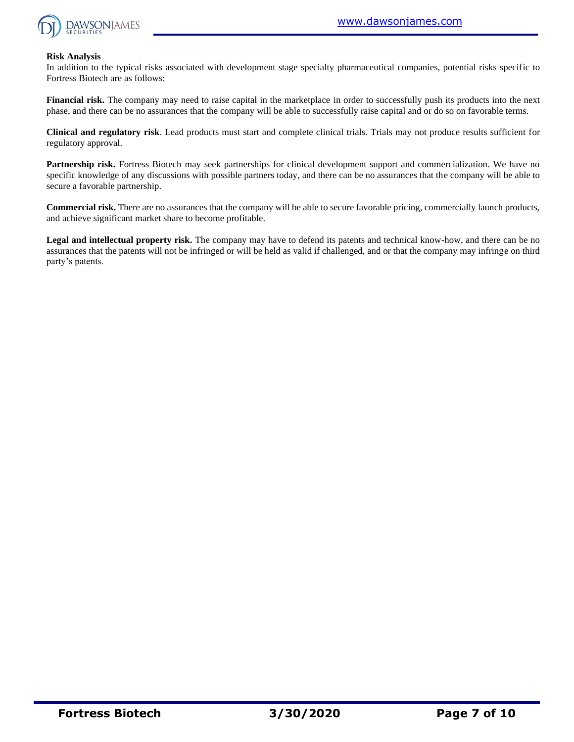

#### **Risk Analysis**

In addition to the typical risks associated with development stage specialty pharmaceutical companies, potential risks specific to Fortress Biotech are as follows:

**Financial risk.** The company may need to raise capital in the marketplace in order to successfully push its products into the next phase, and there can be no assurances that the company will be able to successfully raise capital and or do so on favorable terms.

**Clinical and regulatory risk**. Lead products must start and complete clinical trials. Trials may not produce results sufficient for regulatory approval.

**Partnership risk.** Fortress Biotech may seek partnerships for clinical development support and commercialization. We have no specific knowledge of any discussions with possible partners today, and there can be no assurances that the company will be able to secure a favorable partnership.

**Commercial risk.** There are no assurances that the company will be able to secure favorable pricing, commercially launch products, and achieve significant market share to become profitable.

**Legal and intellectual property risk.** The company may have to defend its patents and technical know-how, and there can be no assurances that the patents will not be infringed or will be held as valid if challenged, and or that the company may infringe on third party's patents.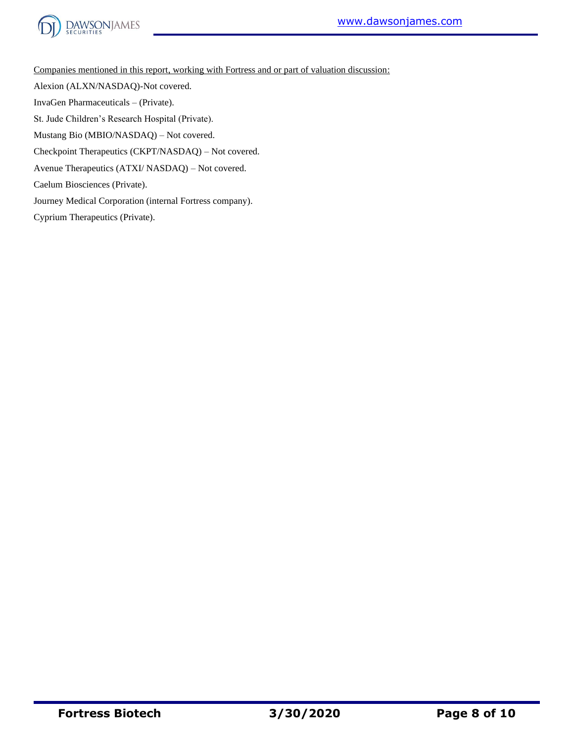

Companies mentioned in this report, working with Fortress and or part of valuation discussion:

Alexion (ALXN/NASDAQ)-Not covered.

InvaGen Pharmaceuticals – (Private).

St. Jude Children's Research Hospital (Private).

Mustang Bio (MBIO/NASDAQ) – Not covered.

Checkpoint Therapeutics (CKPT/NASDAQ) – Not covered.

Avenue Therapeutics (ATXI/ NASDAQ) – Not covered.

Caelum Biosciences (Private).

Journey Medical Corporation (internal Fortress company).

Cyprium Therapeutics (Private).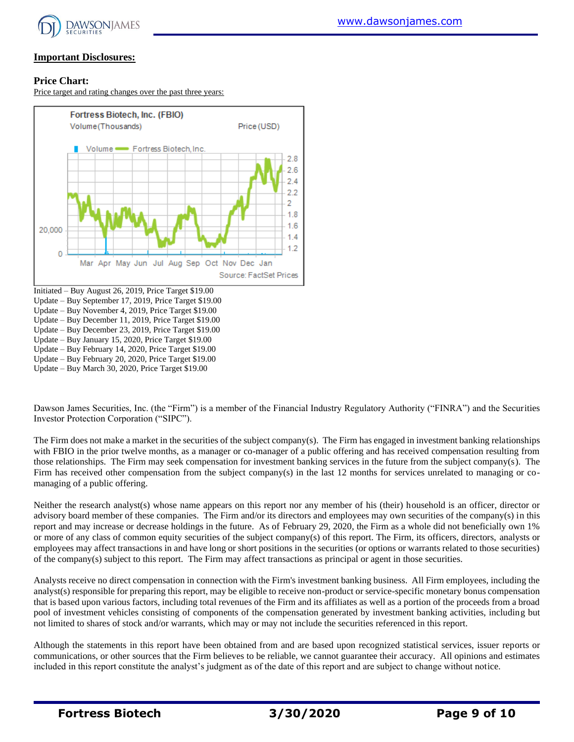

## **Important Disclosures:**

### **Price Chart:**

Price target and rating changes over the past three years:



Update – Buy March 30, 2020, Price Target \$19.00

Dawson James Securities, Inc. (the "Firm") is a member of the Financial Industry Regulatory Authority ("FINRA") and the Securities Investor Protection Corporation ("SIPC").

The Firm does not make a market in the securities of the subject company(s). The Firm has engaged in investment banking relationships with FBIO in the prior twelve months, as a manager or co-manager of a public offering and has received compensation resulting from those relationships. The Firm may seek compensation for investment banking services in the future from the subject company(s). The Firm has received other compensation from the subject company(s) in the last 12 months for services unrelated to managing or comanaging of a public offering.

Neither the research analyst(s) whose name appears on this report nor any member of his (their) household is an officer, director or advisory board member of these companies. The Firm and/or its directors and employees may own securities of the company(s) in this report and may increase or decrease holdings in the future. As of February 29, 2020, the Firm as a whole did not beneficially own 1% or more of any class of common equity securities of the subject company(s) of this report. The Firm, its officers, directors, analysts or employees may affect transactions in and have long or short positions in the securities (or options or warrants related to those securities) of the company(s) subject to this report. The Firm may affect transactions as principal or agent in those securities.

Analysts receive no direct compensation in connection with the Firm's investment banking business. All Firm employees, including the analyst(s) responsible for preparing this report, may be eligible to receive non-product or service-specific monetary bonus compensation that is based upon various factors, including total revenues of the Firm and its affiliates as well as a portion of the proceeds from a broad pool of investment vehicles consisting of components of the compensation generated by investment banking activities, including but not limited to shares of stock and/or warrants, which may or may not include the securities referenced in this report.

Although the statements in this report have been obtained from and are based upon recognized statistical services, issuer reports or communications, or other sources that the Firm believes to be reliable, we cannot guarantee their accuracy. All opinions and estimates included in this report constitute the analyst's judgment as of the date of this report and are subject to change without notice.